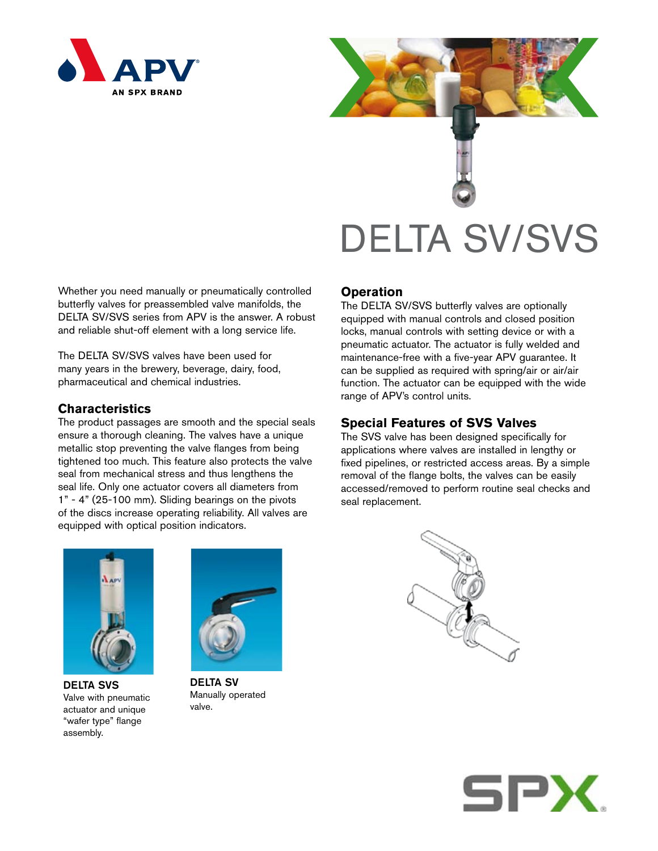



Whether you need manually or pneumatically controlled butterfly valves for preassembled valve manifolds, the DELTA SV/SVS series from APV is the answer. A robust and reliable shut-off element with a long service life.

The DELTA SV/SVS valves have been used for many years in the brewery, beverage, dairy, food, pharmaceutical and chemical industries.

### **Characteristics**

The product passages are smooth and the special seals ensure a thorough cleaning. The valves have a unique metallic stop preventing the valve flanges from being tightened too much. This feature also protects the valve seal from mechanical stress and thus lengthens the seal life. Only one actuator covers all diameters from 1" - 4" (25-100 mm). Sliding bearings on the pivots of the discs increase operating reliability. All valves are equipped with optical position indicators.

# **Operation**

The DELTA SV/SVS butterfly valves are optionally equipped with manual controls and closed position locks, manual controls with setting device or with a pneumatic actuator. The actuator is fully welded and maintenance-free with a five-year APV guarantee. It can be supplied as required with spring/air or air/air function. The actuator can be equipped with the wide range of APV's control units.

## **Special Features of SVS Valves**

The SVS valve has been designed specifically for applications where valves are installed in lengthy or fixed pipelines, or restricted access areas. By a simple removal of the flange bolts, the valves can be easily accessed/removed to perform routine seal checks and seal replacement.







DELTA SVS Valve with pneumatic actuator and unique "wafer type" flange assembly.



DELTA SV Manually operated valve.